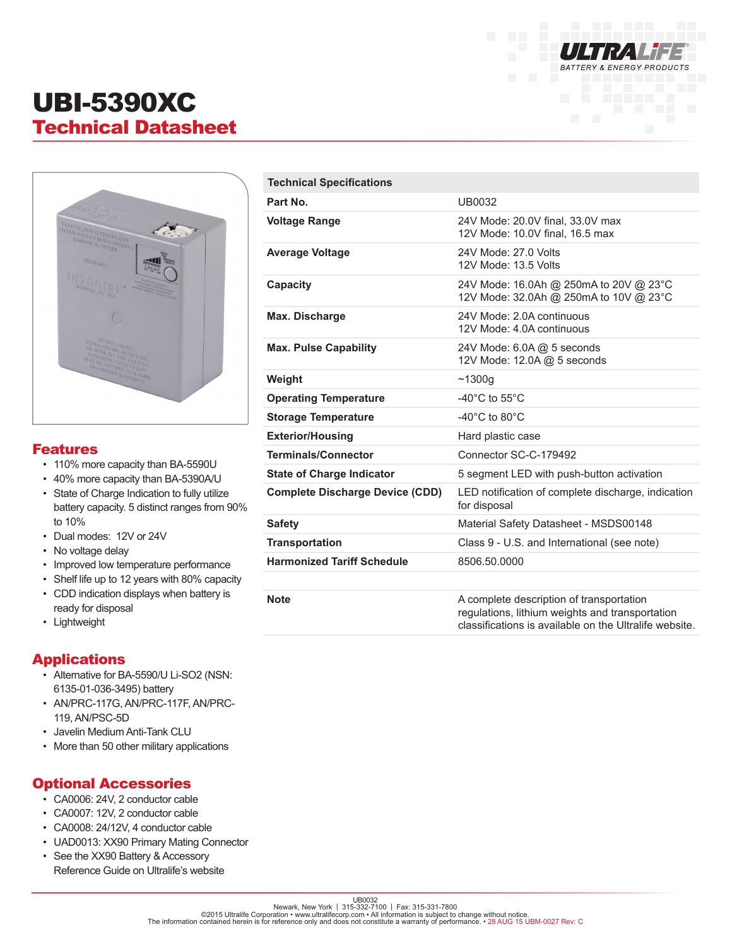

# UBI-5390XC Technical Datasheet



#### Features

- 110% more capacity than BA-5590U
- 40% more capacity than BA-5390A/U
- State of Charge Indication to fully utilize battery capacity. 5 distinct ranges from 90% to 10%
- Dual modes: 12V or 24V
- No voltage delay
- Improved low temperature performance
- Shelf life up to 12 years with 80% capacity
- CDD indication displays when battery is ready for disposal
- Lightweight

#### Applications

- Alternative for BA-5590/U Li-SO2 (NSN: 6135-01-036-3495) battery
- AN/PRC-117G, AN/PRC-117F, AN/PRC-119, AN/PSC-5D
- Javelin Medium Anti-Tank CLU
- More than 50 other military applications

#### Optional Accessories

- CA0006: 24V, 2 conductor cable
- CA0007: 12V, 2 conductor cable
- CA0008: 24/12V, 4 conductor cable
- UAD0013: XX90 Primary Mating Connector
- See the XX90 Battery & Accessory Reference Guide on Ultralife's website

| <b>Technical Specifications</b>        |                                                                                                                                                       |
|----------------------------------------|-------------------------------------------------------------------------------------------------------------------------------------------------------|
| Part No.                               | UB0032                                                                                                                                                |
| <b>Voltage Range</b>                   | 24V Mode: 20.0V final, 33.0V max<br>12V Mode: 10.0V final, 16.5 max                                                                                   |
| <b>Average Voltage</b>                 | 24V Mode: 27.0 Volts<br>12V Mode: 13.5 Volts                                                                                                          |
| Capacity                               | 24V Mode: 16.0Ah @ 250mA to 20V @ 23°C<br>12V Mode: 32.0Ah @ 250mA to 10V @ 23°C                                                                      |
| Max. Discharge                         | 24V Mode: 2.0A continuous<br>12V Mode: 4.0A continuous                                                                                                |
| <b>Max. Pulse Capability</b>           | 24V Mode: 6.0A @ 5 seconds<br>12V Mode: 12.0A @ 5 seconds                                                                                             |
| Weight                                 | ~1300q                                                                                                                                                |
| <b>Operating Temperature</b>           | -40 $^{\circ}$ C to 55 $^{\circ}$ C                                                                                                                   |
| <b>Storage Temperature</b>             | -40 $^{\circ}$ C to 80 $^{\circ}$ C                                                                                                                   |
| <b>Exterior/Housing</b>                | Hard plastic case                                                                                                                                     |
| <b>Terminals/Connector</b>             | Connector SC-C-179492                                                                                                                                 |
| <b>State of Charge Indicator</b>       | 5 segment LED with push-button activation                                                                                                             |
| <b>Complete Discharge Device (CDD)</b> | LED notification of complete discharge, indication<br>for disposal                                                                                    |
| <b>Safety</b>                          | Material Safety Datasheet - MSDS00148                                                                                                                 |
| <b>Transportation</b>                  | Class 9 - U.S. and International (see note)                                                                                                           |
| <b>Harmonized Tariff Schedule</b>      | 8506.50.0000                                                                                                                                          |
|                                        |                                                                                                                                                       |
| <b>Note</b>                            | A complete description of transportation<br>regulations, lithium weights and transportation<br>classifications is available on the Ultralife website. |